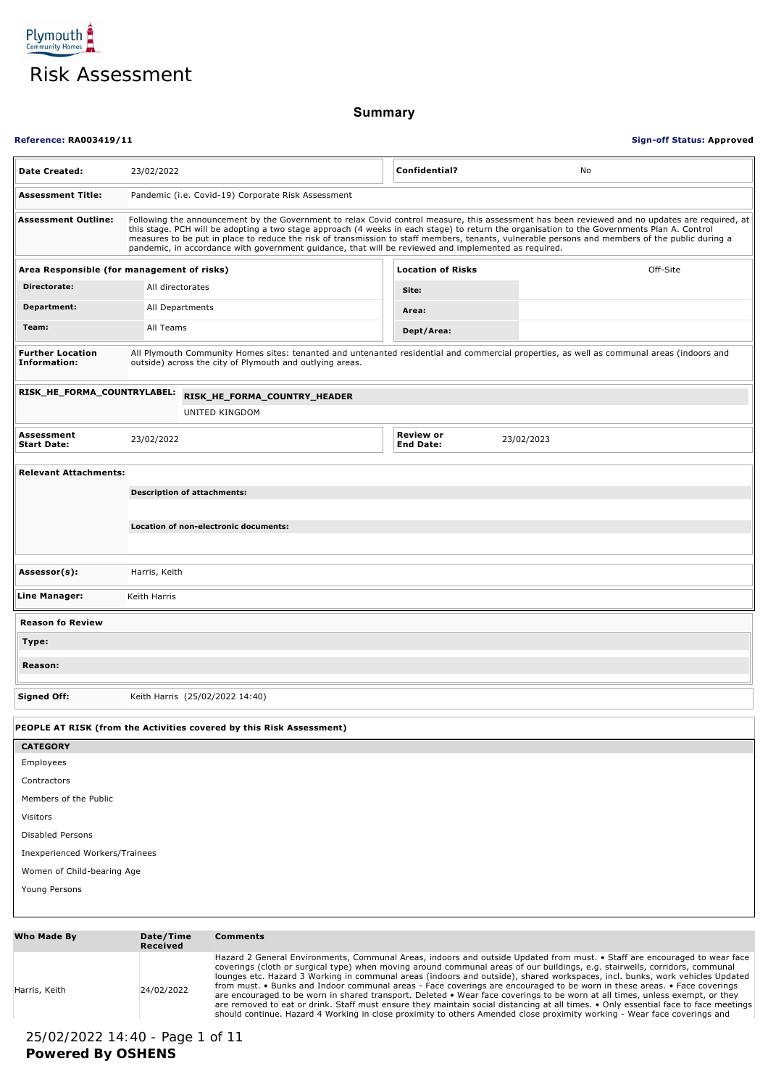

### **Summary**

| <b>Risk Assessment</b>                     |                                                                                                                                                                                                                                                                                                                                                                                                                                                                                                                                                          |                                                                      |                                      |                                                                                                                                                                                                                                                                                                                                                                                                 |  |
|--------------------------------------------|----------------------------------------------------------------------------------------------------------------------------------------------------------------------------------------------------------------------------------------------------------------------------------------------------------------------------------------------------------------------------------------------------------------------------------------------------------------------------------------------------------------------------------------------------------|----------------------------------------------------------------------|--------------------------------------|-------------------------------------------------------------------------------------------------------------------------------------------------------------------------------------------------------------------------------------------------------------------------------------------------------------------------------------------------------------------------------------------------|--|
| <b>Summary</b>                             |                                                                                                                                                                                                                                                                                                                                                                                                                                                                                                                                                          |                                                                      |                                      |                                                                                                                                                                                                                                                                                                                                                                                                 |  |
| <b>Reference: RA003419/11</b>              |                                                                                                                                                                                                                                                                                                                                                                                                                                                                                                                                                          |                                                                      |                                      | <b>Sign-off Status: Approved</b>                                                                                                                                                                                                                                                                                                                                                                |  |
| <b>Date Created:</b>                       | 23/02/2022                                                                                                                                                                                                                                                                                                                                                                                                                                                                                                                                               |                                                                      | Confidential?                        | No                                                                                                                                                                                                                                                                                                                                                                                              |  |
| <b>Assessment Title:</b>                   |                                                                                                                                                                                                                                                                                                                                                                                                                                                                                                                                                          | Pandemic (i.e. Covid-19) Corporate Risk Assessment                   |                                      |                                                                                                                                                                                                                                                                                                                                                                                                 |  |
| Assessment Outline:                        | Following the announcement by the Government to relax Covid control measure, this assessment has been reviewed and no updates are required, at<br>this stage. PCH will be adopting a two stage approach (4 weeks in each stage) to return the organisation to the Governments Plan A. Control<br>measures to be put in place to reduce the risk of transmission to staff members, tenants, vulnerable persons and members of the public during a<br>pandemic, in accordance with government guidance, that will be reviewed and implemented as required. |                                                                      |                                      |                                                                                                                                                                                                                                                                                                                                                                                                 |  |
| Area Responsible (for management of risks) |                                                                                                                                                                                                                                                                                                                                                                                                                                                                                                                                                          |                                                                      | <b>Location of Risks</b>             | Off-Site                                                                                                                                                                                                                                                                                                                                                                                        |  |
| Directorate:                               | All directorates                                                                                                                                                                                                                                                                                                                                                                                                                                                                                                                                         |                                                                      | Site:                                |                                                                                                                                                                                                                                                                                                                                                                                                 |  |
| Department:                                | All Departments                                                                                                                                                                                                                                                                                                                                                                                                                                                                                                                                          |                                                                      | Area:                                |                                                                                                                                                                                                                                                                                                                                                                                                 |  |
| Team:                                      | All Teams                                                                                                                                                                                                                                                                                                                                                                                                                                                                                                                                                |                                                                      | Dept/Area:                           |                                                                                                                                                                                                                                                                                                                                                                                                 |  |
| <b>Further Location</b><br>Information:    |                                                                                                                                                                                                                                                                                                                                                                                                                                                                                                                                                          |                                                                      |                                      | All Plymouth Community Homes sites: tenanted and untenanted residential and commercial properties, as well as communal areas (indoors and                                                                                                                                                                                                                                                       |  |
|                                            |                                                                                                                                                                                                                                                                                                                                                                                                                                                                                                                                                          | outside) across the city of Plymouth and outlying areas.             |                                      |                                                                                                                                                                                                                                                                                                                                                                                                 |  |
| RISK_HE_FORMA_COUNTRYLABEL:                |                                                                                                                                                                                                                                                                                                                                                                                                                                                                                                                                                          | RISK_HE_FORMA_COUNTRY_HEADER                                         |                                      |                                                                                                                                                                                                                                                                                                                                                                                                 |  |
|                                            |                                                                                                                                                                                                                                                                                                                                                                                                                                                                                                                                                          | UNITED KINGDOM                                                       |                                      |                                                                                                                                                                                                                                                                                                                                                                                                 |  |
| Assessment<br>Start Date:                  | 23/02/2022                                                                                                                                                                                                                                                                                                                                                                                                                                                                                                                                               |                                                                      | <b>Review or</b><br><b>End Date:</b> | 23/02/2023                                                                                                                                                                                                                                                                                                                                                                                      |  |
| <b>Relevant Attachments:</b>               |                                                                                                                                                                                                                                                                                                                                                                                                                                                                                                                                                          |                                                                      |                                      |                                                                                                                                                                                                                                                                                                                                                                                                 |  |
|                                            | <b>Description of attachments:</b>                                                                                                                                                                                                                                                                                                                                                                                                                                                                                                                       |                                                                      |                                      |                                                                                                                                                                                                                                                                                                                                                                                                 |  |
|                                            |                                                                                                                                                                                                                                                                                                                                                                                                                                                                                                                                                          |                                                                      |                                      |                                                                                                                                                                                                                                                                                                                                                                                                 |  |
|                                            |                                                                                                                                                                                                                                                                                                                                                                                                                                                                                                                                                          | Location of non-electronic documents:                                |                                      |                                                                                                                                                                                                                                                                                                                                                                                                 |  |
|                                            |                                                                                                                                                                                                                                                                                                                                                                                                                                                                                                                                                          |                                                                      |                                      |                                                                                                                                                                                                                                                                                                                                                                                                 |  |
| Assessor(s):                               | Harris, Keith                                                                                                                                                                                                                                                                                                                                                                                                                                                                                                                                            |                                                                      |                                      |                                                                                                                                                                                                                                                                                                                                                                                                 |  |
| Line Manager:                              | Keith Harris                                                                                                                                                                                                                                                                                                                                                                                                                                                                                                                                             |                                                                      |                                      |                                                                                                                                                                                                                                                                                                                                                                                                 |  |
| <b>Reason fo Review</b>                    |                                                                                                                                                                                                                                                                                                                                                                                                                                                                                                                                                          |                                                                      |                                      |                                                                                                                                                                                                                                                                                                                                                                                                 |  |
| Type:                                      |                                                                                                                                                                                                                                                                                                                                                                                                                                                                                                                                                          |                                                                      |                                      |                                                                                                                                                                                                                                                                                                                                                                                                 |  |
| Reason:                                    |                                                                                                                                                                                                                                                                                                                                                                                                                                                                                                                                                          |                                                                      |                                      |                                                                                                                                                                                                                                                                                                                                                                                                 |  |
| <b>Signed Off:</b>                         | Keith Harris (25/02/2022 14:40)                                                                                                                                                                                                                                                                                                                                                                                                                                                                                                                          |                                                                      |                                      |                                                                                                                                                                                                                                                                                                                                                                                                 |  |
|                                            |                                                                                                                                                                                                                                                                                                                                                                                                                                                                                                                                                          |                                                                      |                                      |                                                                                                                                                                                                                                                                                                                                                                                                 |  |
|                                            |                                                                                                                                                                                                                                                                                                                                                                                                                                                                                                                                                          | PEOPLE AT RISK (from the Activities covered by this Risk Assessment) |                                      |                                                                                                                                                                                                                                                                                                                                                                                                 |  |
| <b>CATEGORY</b><br>Employees               |                                                                                                                                                                                                                                                                                                                                                                                                                                                                                                                                                          |                                                                      |                                      |                                                                                                                                                                                                                                                                                                                                                                                                 |  |
| Contractors                                |                                                                                                                                                                                                                                                                                                                                                                                                                                                                                                                                                          |                                                                      |                                      |                                                                                                                                                                                                                                                                                                                                                                                                 |  |
| Members of the Public                      |                                                                                                                                                                                                                                                                                                                                                                                                                                                                                                                                                          |                                                                      |                                      |                                                                                                                                                                                                                                                                                                                                                                                                 |  |
| Visitors                                   |                                                                                                                                                                                                                                                                                                                                                                                                                                                                                                                                                          |                                                                      |                                      |                                                                                                                                                                                                                                                                                                                                                                                                 |  |
| Disabled Persons                           |                                                                                                                                                                                                                                                                                                                                                                                                                                                                                                                                                          |                                                                      |                                      |                                                                                                                                                                                                                                                                                                                                                                                                 |  |
|                                            |                                                                                                                                                                                                                                                                                                                                                                                                                                                                                                                                                          |                                                                      |                                      |                                                                                                                                                                                                                                                                                                                                                                                                 |  |
| Inexperienced Workers/Trainees             |                                                                                                                                                                                                                                                                                                                                                                                                                                                                                                                                                          |                                                                      |                                      |                                                                                                                                                                                                                                                                                                                                                                                                 |  |
| Women of Child-bearing Age                 |                                                                                                                                                                                                                                                                                                                                                                                                                                                                                                                                                          |                                                                      |                                      |                                                                                                                                                                                                                                                                                                                                                                                                 |  |
| Young Persons                              |                                                                                                                                                                                                                                                                                                                                                                                                                                                                                                                                                          |                                                                      |                                      |                                                                                                                                                                                                                                                                                                                                                                                                 |  |
| Who Made By                                | Date/Time                                                                                                                                                                                                                                                                                                                                                                                                                                                                                                                                                | <b>Comments</b>                                                      |                                      |                                                                                                                                                                                                                                                                                                                                                                                                 |  |
|                                            | Received                                                                                                                                                                                                                                                                                                                                                                                                                                                                                                                                                 |                                                                      |                                      | Hazard 2 General Environments, Communal Areas, indoors and outside Updated from must. • Staff are encouraged to wear face                                                                                                                                                                                                                                                                       |  |
|                                            |                                                                                                                                                                                                                                                                                                                                                                                                                                                                                                                                                          |                                                                      |                                      | coverings (cloth or surgical type) when moving around communal areas of our buildings, e.g. stairwells, corridors, communal<br>lounges etc. Hazard 3 Working in communal areas (indoors and outside), shared workspaces, incl. bunks, work vehicles Updated                                                                                                                                     |  |
| Harris, Keith                              | 24/02/2022                                                                                                                                                                                                                                                                                                                                                                                                                                                                                                                                               |                                                                      |                                      | from must. • Bunks and Indoor communal areas - Face coverings are encouraged to be worn in these areas. • Face coverings                                                                                                                                                                                                                                                                        |  |
|                                            |                                                                                                                                                                                                                                                                                                                                                                                                                                                                                                                                                          |                                                                      |                                      | are encouraged to be worn in shared transport. Deleted • Wear face coverings to be worn at all times, unless exempt, or they<br>are removed to eat or drink. Staff must ensure they maintain social distancing at all times. • Only essential face to face meetings<br>should continue. Hazard 4 Working in close proximity to others Amended close proximity working - Wear face coverings and |  |

| <b>Who Made By</b> | Date/Time<br>Received | <b>Comments</b>                                                                                                                                                                                                                                                                                                                                                                                                                                                                                                                                                                                                                                                                                                                                                                                                                                                                                                         |
|--------------------|-----------------------|-------------------------------------------------------------------------------------------------------------------------------------------------------------------------------------------------------------------------------------------------------------------------------------------------------------------------------------------------------------------------------------------------------------------------------------------------------------------------------------------------------------------------------------------------------------------------------------------------------------------------------------------------------------------------------------------------------------------------------------------------------------------------------------------------------------------------------------------------------------------------------------------------------------------------|
| Harris, Keith      | 24/02/2022            | Hazard 2 General Environments, Communal Areas, indoors and outside Updated from must. • Staff are encouraged to wear face<br>coverings (cloth or surgical type) when moving around communal areas of our buildings, e.g. stairwells, corridors, communal<br>lounges etc. Hazard 3 Working in communal areas (indoors and outside), shared workspaces, incl. bunks, work vehicles Updated<br>from must. • Bunks and Indoor communal areas - Face coverings are encouraged to be worn in these areas. • Face coverings<br>are encouraged to be worn in shared transport. Deleted • Wear face coverings to be worn at all times, unless exempt, or they<br>are removed to eat or drink. Staff must ensure they maintain social distancing at all times. • Only essential face to face meetings<br>should continue. Hazard 4 Working in close proximity to others Amended close proximity working - Wear face coverings and |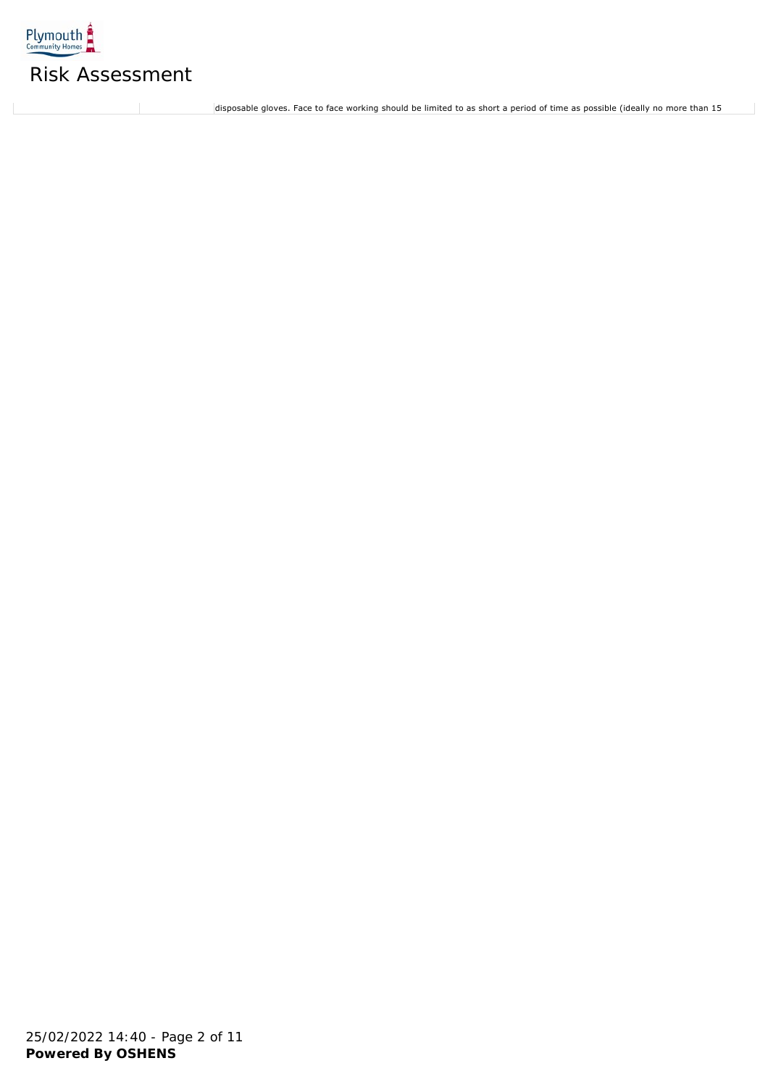

**Contract Contract** 

disposable gloves. Face to face working should be limited to as short a period of time as possible (ideally no more than 15

 $\sim$  1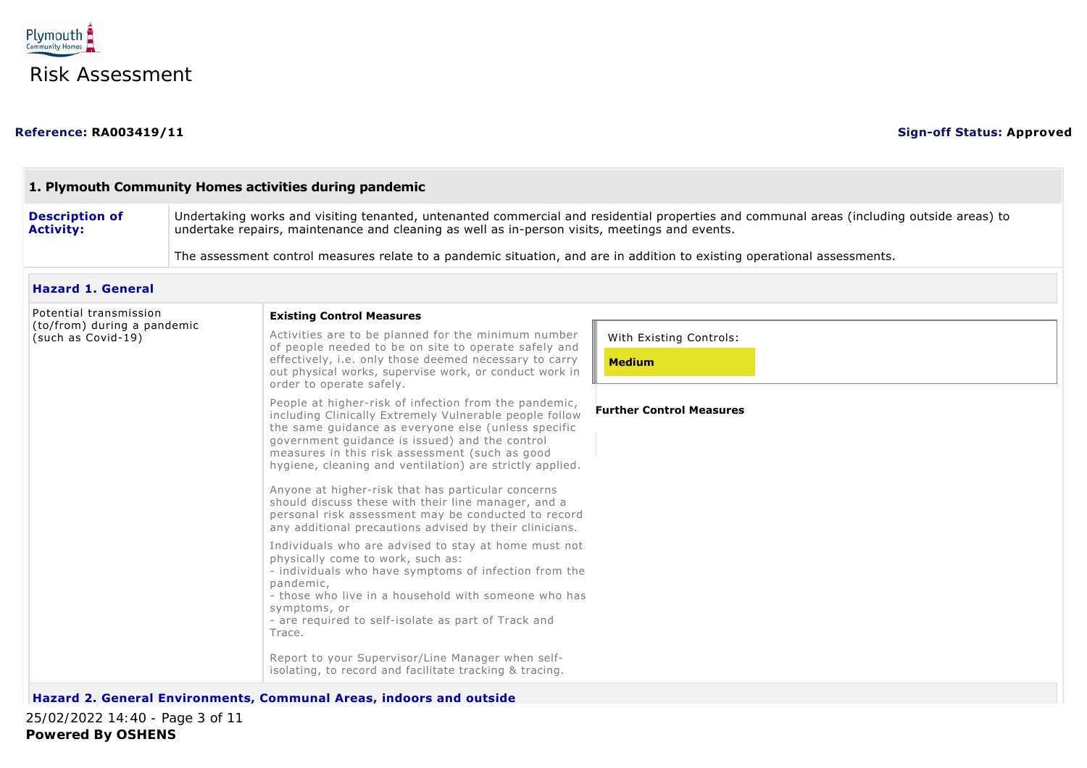

### **Reference: RA003419/11 Sign-off Status: Approved**

| 1. Plymouth Community Homes activities during pandemic |                                                                                                                                                                                                                                                                                                                                                                        |                                                                                                                                                                                                                                                                                                                                                                                                                                  |  |
|--------------------------------------------------------|------------------------------------------------------------------------------------------------------------------------------------------------------------------------------------------------------------------------------------------------------------------------------------------------------------------------------------------------------------------------|----------------------------------------------------------------------------------------------------------------------------------------------------------------------------------------------------------------------------------------------------------------------------------------------------------------------------------------------------------------------------------------------------------------------------------|--|
| <b>Description of</b><br><b>Activity:</b>              | Undertaking works and visiting tenanted, untenanted commercial and residential properties and communal areas (including outside areas) to<br>undertake repairs, maintenance and cleaning as well as in-person visits, meetings and events.<br>The assessment control measures relate to a pandemic situation, and are in addition to existing operational assessments. |                                                                                                                                                                                                                                                                                                                                                                                                                                  |  |
|                                                        |                                                                                                                                                                                                                                                                                                                                                                        |                                                                                                                                                                                                                                                                                                                                                                                                                                  |  |
| <b>Hazard 1. General</b>                               |                                                                                                                                                                                                                                                                                                                                                                        |                                                                                                                                                                                                                                                                                                                                                                                                                                  |  |
| Potential transmission<br>(to/from) during a pandemic  |                                                                                                                                                                                                                                                                                                                                                                        | <b>Existing Control Measures</b>                                                                                                                                                                                                                                                                                                                                                                                                 |  |
| (such as Covid-19)                                     |                                                                                                                                                                                                                                                                                                                                                                        | Activities are to be planned for the minimum number<br>With Existing Controls:<br>of people needed to be on site to operate safely and<br>effectively, i.e. only those deemed necessary to carry<br><b>Medium</b><br>out physical works, supervise work, or conduct work in<br>order to operate safely.                                                                                                                          |  |
|                                                        |                                                                                                                                                                                                                                                                                                                                                                        | People at higher-risk of infection from the pandemic,<br><b>Further Control Measures</b><br>including Clinically Extremely Vulnerable people follow<br>the same quidance as everyone else (unless specific<br>government guidance is issued) and the control<br>measures in this risk assessment (such as good<br>hygiene, cleaning and ventilation) are strictly applied.<br>Anyone at higher-risk that has particular concerns |  |
|                                                        |                                                                                                                                                                                                                                                                                                                                                                        | should discuss these with their line manager, and a<br>personal risk assessment may be conducted to record<br>any additional precautions advised by their clinicians.                                                                                                                                                                                                                                                            |  |
|                                                        |                                                                                                                                                                                                                                                                                                                                                                        | Individuals who are advised to stay at home must not<br>physically come to work, such as:<br>- individuals who have symptoms of infection from the<br>pandemic,<br>- those who live in a household with someone who has<br>symptoms, or<br>- are required to self-isolate as part of Track and<br>Trace.                                                                                                                         |  |
|                                                        |                                                                                                                                                                                                                                                                                                                                                                        | Report to your Supervisor/Line Manager when self-<br>isolating, to record and facilitate tracking & tracing.                                                                                                                                                                                                                                                                                                                     |  |

**Hazard 2. General Environments, Communal Areas, indoors and outside**

**Powered By OSHENS** 25/02/2022 14:40 - Page 3 of 11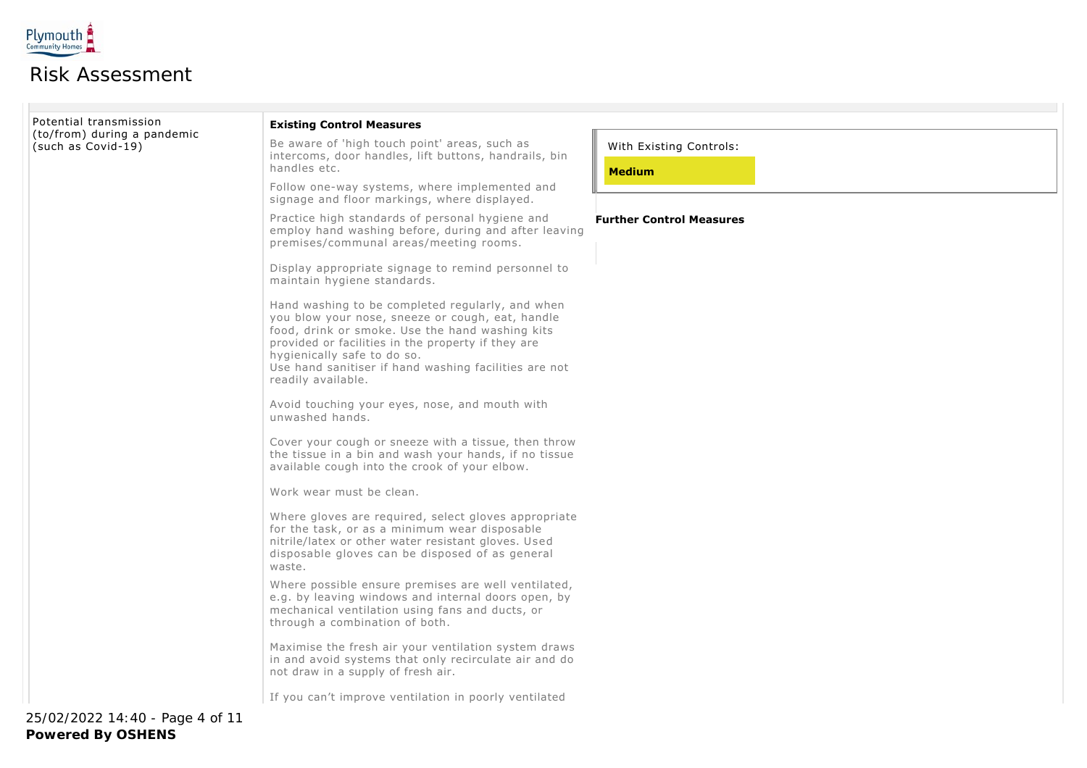

 $\mathbb{R}^n$ 

# Risk Assessment

| Potential transmission<br>(to/from) during a pandemic | <b>Existing Control Measures</b>                                                                                                                                                                                                                                                                                            |                                          |  |  |
|-------------------------------------------------------|-----------------------------------------------------------------------------------------------------------------------------------------------------------------------------------------------------------------------------------------------------------------------------------------------------------------------------|------------------------------------------|--|--|
| (such as Covid-19)                                    | Be aware of 'high touch point' areas, such as<br>intercoms, door handles, lift buttons, handrails, bin<br>handles etc.                                                                                                                                                                                                      | With Existing Controls:<br><b>Medium</b> |  |  |
|                                                       | Follow one-way systems, where implemented and<br>signage and floor markings, where displayed.                                                                                                                                                                                                                               |                                          |  |  |
|                                                       | Practice high standards of personal hygiene and<br>employ hand washing before, during and after leaving<br>premises/communal areas/meeting rooms.                                                                                                                                                                           | <b>Further Control Measures</b>          |  |  |
|                                                       | Display appropriate signage to remind personnel to<br>maintain hygiene standards.                                                                                                                                                                                                                                           |                                          |  |  |
|                                                       | Hand washing to be completed regularly, and when<br>you blow your nose, sneeze or cough, eat, handle<br>food, drink or smoke. Use the hand washing kits<br>provided or facilities in the property if they are<br>hygienically safe to do so.<br>Use hand sanitiser if hand washing facilities are not<br>readily available. |                                          |  |  |
|                                                       | Avoid touching your eyes, nose, and mouth with<br>unwashed hands.                                                                                                                                                                                                                                                           |                                          |  |  |
|                                                       | Cover your cough or sneeze with a tissue, then throw<br>the tissue in a bin and wash your hands, if no tissue<br>available cough into the crook of your elbow.                                                                                                                                                              |                                          |  |  |
|                                                       | Work wear must be clean.                                                                                                                                                                                                                                                                                                    |                                          |  |  |
|                                                       | Where gloves are required, select gloves appropriate<br>for the task, or as a minimum wear disposable<br>nitrile/latex or other water resistant gloves. Used<br>disposable gloves can be disposed of as general<br>waste.                                                                                                   |                                          |  |  |
|                                                       | Where possible ensure premises are well ventilated,<br>e.g. by leaving windows and internal doors open, by<br>mechanical ventilation using fans and ducts, or<br>through a combination of both.                                                                                                                             |                                          |  |  |
|                                                       | Maximise the fresh air your ventilation system draws<br>in and avoid systems that only recirculate air and do<br>not draw in a supply of fresh air.                                                                                                                                                                         |                                          |  |  |
|                                                       | If you can't improve ventilation in poorly ventilated                                                                                                                                                                                                                                                                       |                                          |  |  |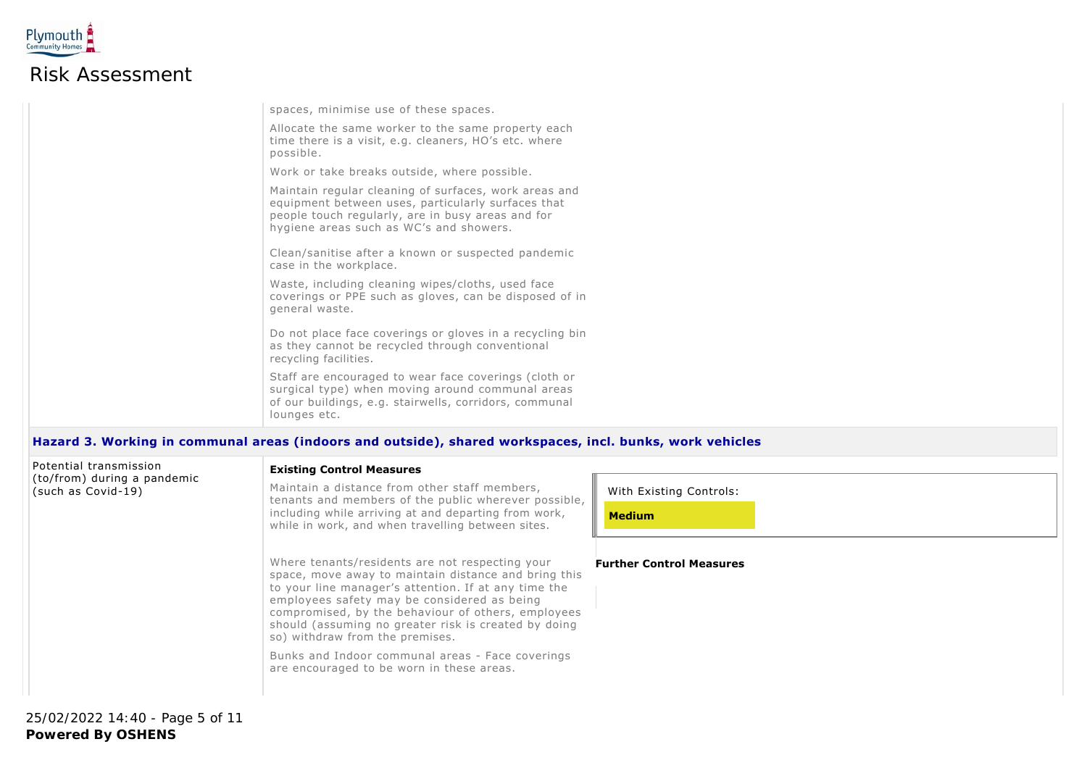

| spaces, minimise use of these spaces.                                                                                                                                                                       |
|-------------------------------------------------------------------------------------------------------------------------------------------------------------------------------------------------------------|
| Allocate the same worker to the same property each<br>time there is a visit, e.g. cleaners, HO's etc. where<br>possible.                                                                                    |
| Work or take breaks outside, where possible.                                                                                                                                                                |
| Maintain regular cleaning of surfaces, work areas and<br>equipment between uses, particularly surfaces that<br>people touch regularly, are in busy areas and for<br>hygiene areas such as WC's and showers. |
| Clean/sanitise after a known or suspected pandemic<br>case in the workplace.                                                                                                                                |
| Waste, including cleaning wipes/cloths, used face<br>coverings or PPE such as gloves, can be disposed of in<br>general waste.                                                                               |
| Do not place face coverings or gloves in a recycling bin<br>as they cannot be recycled through conventional<br>recycling facilities.                                                                        |
| Staff are encouraged to wear face coverings (cloth or<br>surgical type) when moving around communal areas<br>of our buildings, e.g. stairwells, corridors, communal<br>lounges etc.                         |

### **Hazard 3. Working in communal areas (indoors and outside), shared workspaces, incl. bunks, work vehicles**

| Potential transmission<br>(to/from) during a pandemic | <b>Existing Control Measures</b>                                                                                                                                                                                                                                                                                                                                |                                 |  |
|-------------------------------------------------------|-----------------------------------------------------------------------------------------------------------------------------------------------------------------------------------------------------------------------------------------------------------------------------------------------------------------------------------------------------------------|---------------------------------|--|
| (such as Covid-19)                                    | Maintain a distance from other staff members,<br>tenants and members of the public wherever possible,                                                                                                                                                                                                                                                           | With Existing Controls:         |  |
|                                                       | including while arriving at and departing from work,<br>while in work, and when travelling between sites.                                                                                                                                                                                                                                                       | <b>Medium</b>                   |  |
|                                                       | Where tenants/residents are not respecting your<br>space, move away to maintain distance and bring this<br>to your line manager's attention. If at any time the<br>employees safety may be considered as being<br>compromised, by the behaviour of others, employees<br>should (assuming no greater risk is created by doing<br>so) withdraw from the premises. | <b>Further Control Measures</b> |  |
|                                                       | Bunks and Indoor communal areas - Face coverings<br>are encouraged to be worn in these areas.                                                                                                                                                                                                                                                                   |                                 |  |
|                                                       |                                                                                                                                                                                                                                                                                                                                                                 |                                 |  |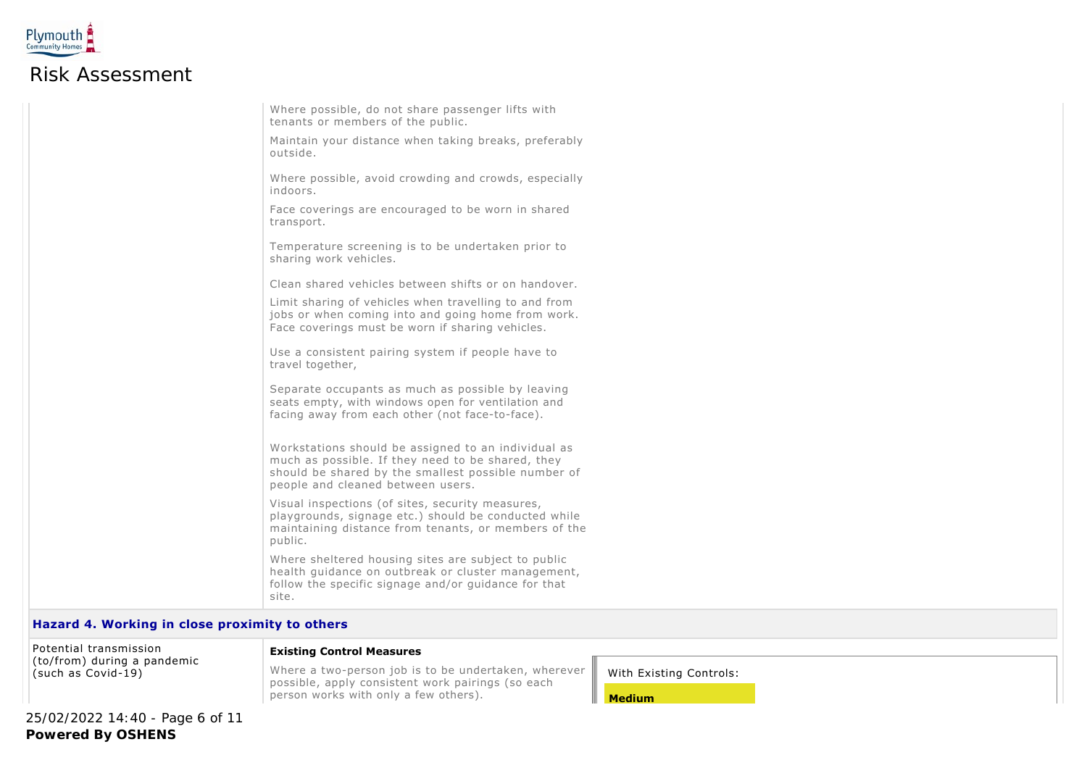

Where possible, do not share passenger lifts with tenants or members of the public. Maintain your distance when taking breaks, preferably outside. Where possible, avoid crowding and crowds, especially indoors. Face coverings are encouraged to be worn in shared transport. Temperature screening is to be undertaken prior to sharing work vehicles. Clean shared vehicles between shifts or on handover. Limit sharing of vehicles when travelling to and from jobs or when coming into and going home from work. Face coverings must be worn if sharing vehicles. Use a consistent pairing system if people have to travel together, Separate occupants as much as possible by leaving seats empty, with windows open for ventilation and facing away from each other (not face-to-face). Workstations should be assigned to an individual as much as possible. If they need to be shared, they should be shared by the smallest possible number of people and cleaned between users. Visual inspections (of sites, security measures, playgrounds, signage etc.) should be conducted while maintaining distance from tenants, or members of the public. Where sheltered housing sites are subject to public health guidance on outbreak or cluster management, follow the specific signage and/or guidance for that

site.

### **Hazard 4. Working in close proximity to others**

Potential transmission (to/from) during a pandemic (such as Covid-19)

### **Existing Control Measures**

Where a two-person job is to be undertaken, wherever possible, apply consistent work pairings (so each person works with only a few others).

With Existing Controls:

**Medium**

**Powered By OSHENS** 25/02/2022 14:40 - Page 6 of 11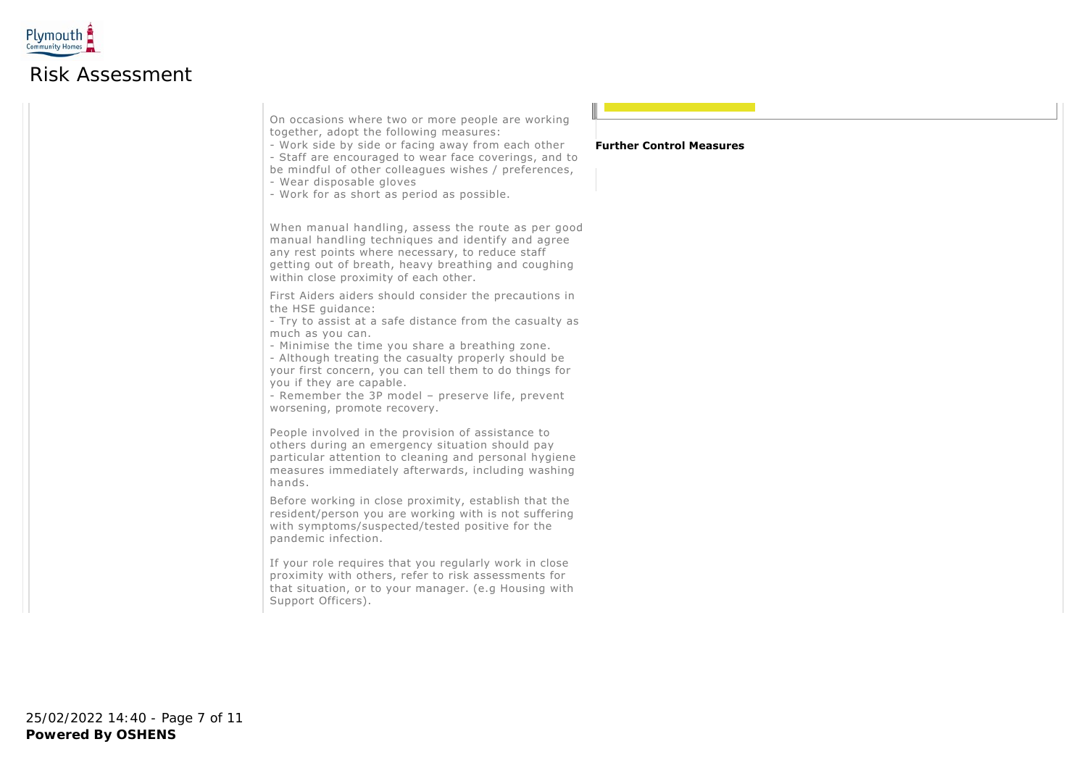

On occasions where two or more people are working together, adopt the following measures:

- Work side by side or facing away from each other
- Staff are encouraged to wear face coverings, and to
- be mindful of other colleagues wishes / preferences,
- Wear disposable gloves
- Work for as short as period as possible.

When manual handling, assess the route as per good manual handling techniques and identify and agree any rest points where necessary, to reduce staff getting out of breath, heavy breathing and coughing within close proximity of each other.

First Aiders aiders should consider the precautions in the HSE guidance:

- Try to assist at a safe distance from the casualty as much as you can.

- Minimise the time you share a breathing zone.

- Although treating the casualty properly should be your first concern, you can tell them to do things for you if they are capable.

- Remember the 3P model – preserve life, prevent worsening, promote recovery.

People involved in the provision of assistance to others during an emergency situation should pay particular attention to cleaning and personal hygiene measures immediately afterwards, including washing hands.

Before working in close proximity, establish that the resident/person you are working with is not suffering with symptoms/suspected/tested positive for the pandemic infection.

If your role requires that you regularly work in close proximity with others, refer to risk assessments for that situation, or to your manager. (e.g Housing with Support Officers).

#### **Further Control Measures**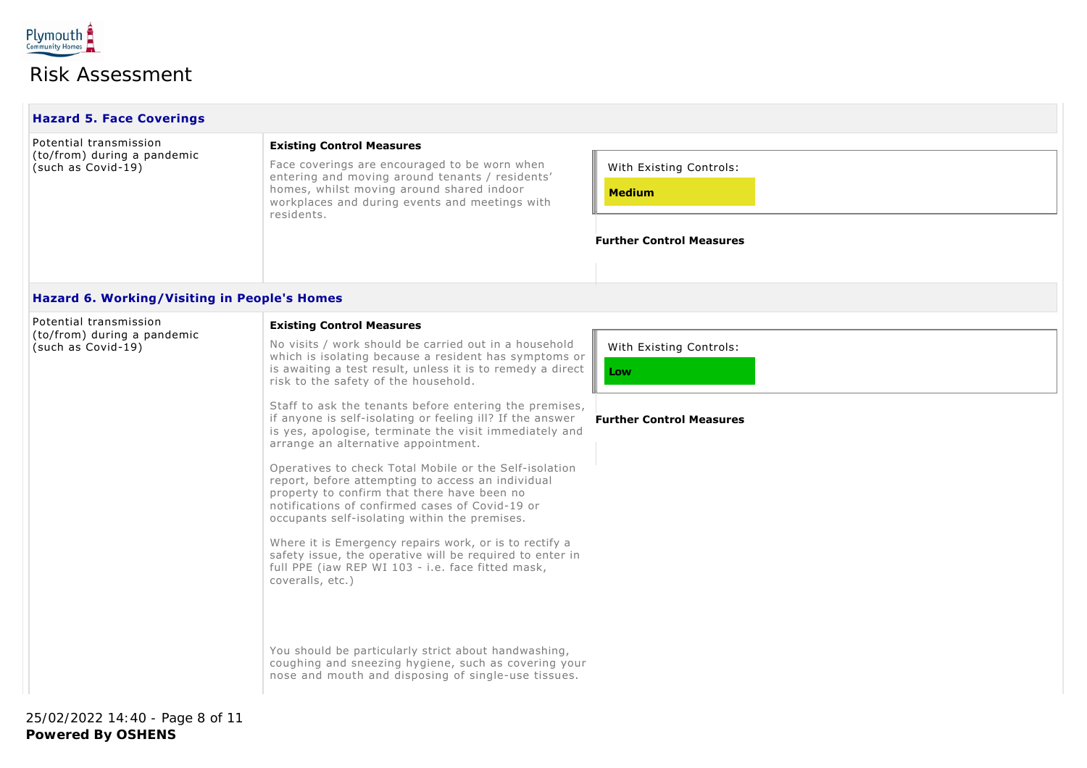

| <b>Hazard 5. Face Coverings</b>                                             |                                                                                                                                                                                                                                                                                                                                                                                                                                                                                                                                                                                                                                                                                                                                                                                                                                                                                                                                                                                                                                                                                                                          |                                                                             |  |
|-----------------------------------------------------------------------------|--------------------------------------------------------------------------------------------------------------------------------------------------------------------------------------------------------------------------------------------------------------------------------------------------------------------------------------------------------------------------------------------------------------------------------------------------------------------------------------------------------------------------------------------------------------------------------------------------------------------------------------------------------------------------------------------------------------------------------------------------------------------------------------------------------------------------------------------------------------------------------------------------------------------------------------------------------------------------------------------------------------------------------------------------------------------------------------------------------------------------|-----------------------------------------------------------------------------|--|
| Potential transmission<br>(to/from) during a pandemic<br>(such as Covid-19) | <b>Existing Control Measures</b><br>Face coverings are encouraged to be worn when<br>entering and moving around tenants / residents'<br>homes, whilst moving around shared indoor<br>workplaces and during events and meetings with<br>residents.                                                                                                                                                                                                                                                                                                                                                                                                                                                                                                                                                                                                                                                                                                                                                                                                                                                                        | With Existing Controls:<br><b>Medium</b><br><b>Further Control Measures</b> |  |
| <b>Hazard 6. Working/Visiting in People's Homes</b>                         |                                                                                                                                                                                                                                                                                                                                                                                                                                                                                                                                                                                                                                                                                                                                                                                                                                                                                                                                                                                                                                                                                                                          |                                                                             |  |
| Potential transmission<br>(to/from) during a pandemic<br>(such as Covid-19) | <b>Existing Control Measures</b><br>No visits / work should be carried out in a household<br>which is isolating because a resident has symptoms or<br>is awaiting a test result, unless it is to remedy a direct<br>risk to the safety of the household.<br>Staff to ask the tenants before entering the premises,<br>if anyone is self-isolating or feeling ill? If the answer<br>is yes, apologise, terminate the visit immediately and<br>arrange an alternative appointment.<br>Operatives to check Total Mobile or the Self-isolation<br>report, before attempting to access an individual<br>property to confirm that there have been no<br>notifications of confirmed cases of Covid-19 or<br>occupants self-isolating within the premises.<br>Where it is Emergency repairs work, or is to rectify a<br>safety issue, the operative will be required to enter in<br>full PPE (iaw REP WI 103 - i.e. face fitted mask,<br>coveralls, etc.)<br>You should be particularly strict about handwashing,<br>coughing and sneezing hygiene, such as covering your<br>nose and mouth and disposing of single-use tissues. | With Existing Controls:<br>Low<br><b>Further Control Measures</b>           |  |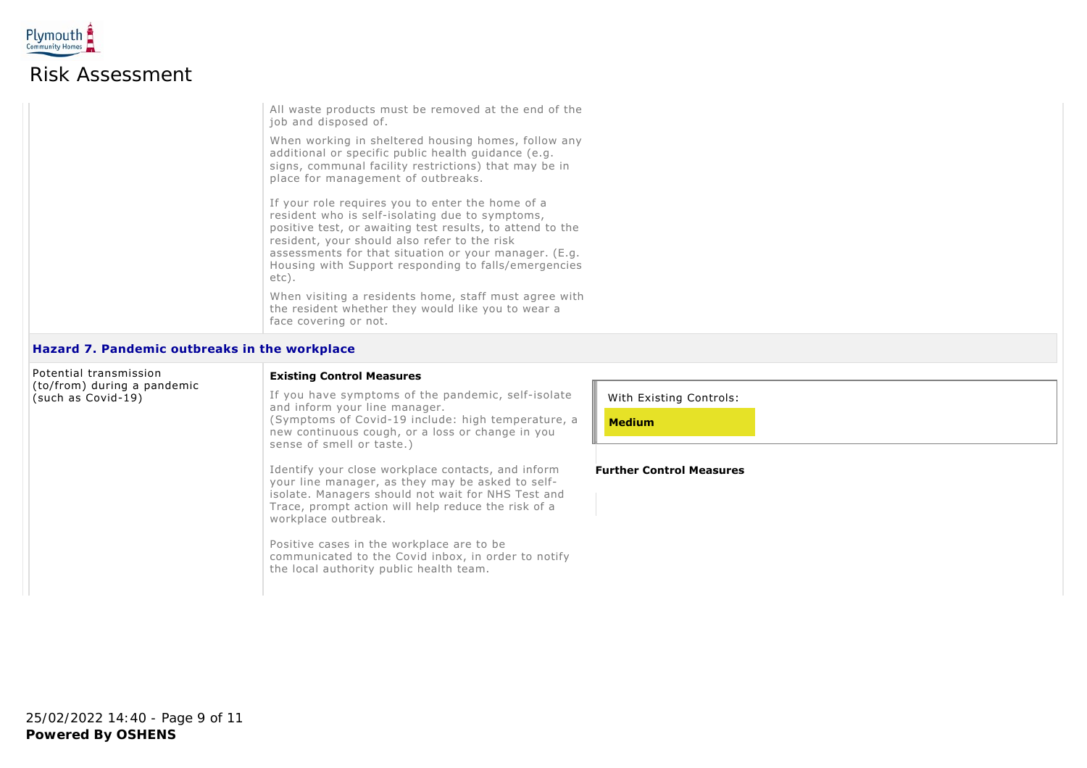

| All waste products must be removed at the end of the<br>job and disposed of.                                                                                                                                                                                                                                                               |
|--------------------------------------------------------------------------------------------------------------------------------------------------------------------------------------------------------------------------------------------------------------------------------------------------------------------------------------------|
| When working in sheltered housing homes, follow any<br>additional or specific public health quidance (e.g.<br>signs, communal facility restrictions) that may be in<br>place for management of outbreaks.                                                                                                                                  |
| If your role requires you to enter the home of a<br>resident who is self-isolating due to symptoms,<br>positive test, or awaiting test results, to attend to the<br>resident, your should also refer to the risk<br>assessments for that situation or your manager. (E.g.<br>Housing with Support responding to falls/emergencies<br>etc). |
| When visiting a residents home, staff must agree with<br>the resident whether they would like you to wear a<br>face covering or not.                                                                                                                                                                                                       |

### **Hazard 7. Pandemic outbreaks in the workplace**

| Potential transmission                            | <b>Existing Control Measures</b>                                                                                                                                                                                                                                                                                                                                                          |                                          |  |
|---------------------------------------------------|-------------------------------------------------------------------------------------------------------------------------------------------------------------------------------------------------------------------------------------------------------------------------------------------------------------------------------------------------------------------------------------------|------------------------------------------|--|
| (to/from) during a pandemic<br>(such as Covid-19) | If you have symptoms of the pandemic, self-isolate<br>and inform your line manager.<br>(Symptoms of Covid-19 include: high temperature, a<br>new continuous cough, or a loss or change in you<br>sense of smell or taste.)                                                                                                                                                                | With Existing Controls:<br><b>Medium</b> |  |
|                                                   | Identify your close workplace contacts, and inform<br>your line manager, as they may be asked to self-<br>isolate. Managers should not wait for NHS Test and<br>Trace, prompt action will help reduce the risk of a<br>workplace outbreak.<br>Positive cases in the workplace are to be<br>communicated to the Covid inbox, in order to notify<br>the local authority public health team. | <b>Further Control Measures</b>          |  |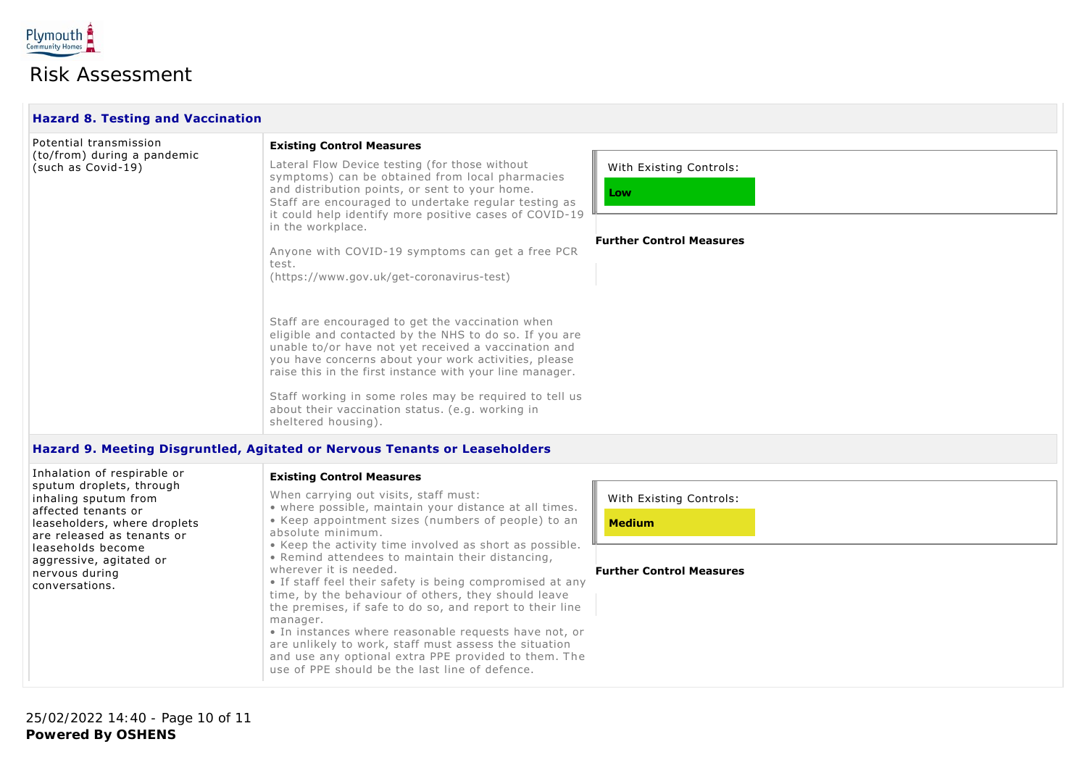

| <b>Hazard 8. Testing and Vaccination</b>                                                                                                                                                                                  |                                                                                                                                                                                                                                                                                                                                                                                                                                                                                                                                                                                                                                                                                                                                                                                                                                                                         |                                                                             |
|---------------------------------------------------------------------------------------------------------------------------------------------------------------------------------------------------------------------------|-------------------------------------------------------------------------------------------------------------------------------------------------------------------------------------------------------------------------------------------------------------------------------------------------------------------------------------------------------------------------------------------------------------------------------------------------------------------------------------------------------------------------------------------------------------------------------------------------------------------------------------------------------------------------------------------------------------------------------------------------------------------------------------------------------------------------------------------------------------------------|-----------------------------------------------------------------------------|
| Potential transmission<br>(to/from) during a pandemic<br>(such as Covid-19)                                                                                                                                               | <b>Existing Control Measures</b><br>Lateral Flow Device testing (for those without<br>symptoms) can be obtained from local pharmacies<br>and distribution points, or sent to your home.<br>Staff are encouraged to undertake regular testing as<br>it could help identify more positive cases of COVID-19<br>in the workplace.<br>Anyone with COVID-19 symptoms can get a free PCR<br>test.<br>(https://www.gov.uk/get-coronavirus-test)<br>Staff are encouraged to get the vaccination when<br>eligible and contacted by the NHS to do so. If you are<br>unable to/or have not yet received a vaccination and<br>you have concerns about your work activities, please<br>raise this in the first instance with your line manager.<br>Staff working in some roles may be required to tell us<br>about their vaccination status. (e.g. working in<br>sheltered housing). | With Existing Controls:<br>Low<br><b>Further Control Measures</b>           |
| Inhalation of respirable or                                                                                                                                                                                               | Hazard 9. Meeting Disgruntled, Agitated or Nervous Tenants or Leaseholders<br><b>Existing Control Measures</b>                                                                                                                                                                                                                                                                                                                                                                                                                                                                                                                                                                                                                                                                                                                                                          |                                                                             |
| sputum droplets, through<br>inhaling sputum from<br>affected tenants or<br>leaseholders, where droplets<br>are released as tenants or<br>leaseholds become<br>aggressive, agitated or<br>nervous during<br>conversations. | When carrying out visits, staff must:<br>• where possible, maintain your distance at all times.<br>• Keep appointment sizes (numbers of people) to an<br>absolute minimum.<br>• Keep the activity time involved as short as possible.<br>• Remind attendees to maintain their distancing,<br>wherever it is needed.<br>. If staff feel their safety is being compromised at any<br>time, by the behaviour of others, they should leave<br>the premises, if safe to do so, and report to their line<br>manager.                                                                                                                                                                                                                                                                                                                                                          | With Existing Controls:<br><b>Medium</b><br><b>Further Control Measures</b> |

• In instances where reasonable requests have not, or are unlikely to work, staff must assess the situation and use any optional extra PPE provided to them. The

use of PPE should be the last line of defence.